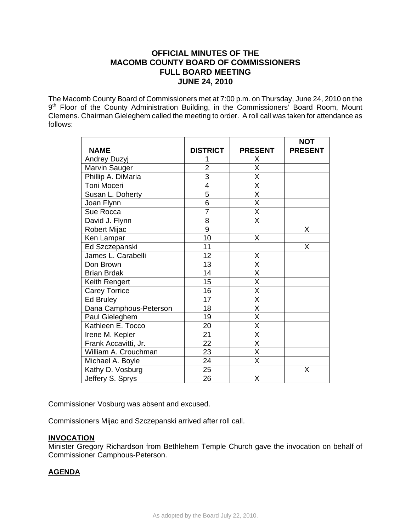# **OFFICIAL MINUTES OF THE MACOMB COUNTY BOARD OF COMMISSIONERS FULL BOARD MEETING JUNE 24, 2010**

The Macomb County Board of Commissioners met at 7:00 p.m. on Thursday, June 24, 2010 on the 9<sup>th</sup> Floor of the County Administration Building, in the Commissioners' Board Room, Mount Clemens. Chairman Gieleghem called the meeting to order. A roll call was taken for attendance as follows:

|                        |                 |                         | <b>NOT</b>     |
|------------------------|-----------------|-------------------------|----------------|
| <b>NAME</b>            | <b>DISTRICT</b> | <b>PRESENT</b>          | <b>PRESENT</b> |
| Andrey Duzyj           |                 | Χ                       |                |
| Marvin Sauger          | $\overline{2}$  | $\overline{\mathsf{x}}$ |                |
| Phillip A. DiMaria     | $\overline{3}$  | $\overline{\mathsf{x}}$ |                |
| Toni Moceri            | $\overline{4}$  | $\overline{\mathsf{x}}$ |                |
| Susan L. Doherty       | $\overline{5}$  | $\overline{\mathsf{X}}$ |                |
| Joan Flynn             | $\overline{6}$  | X                       |                |
| Sue Rocca              | $\overline{7}$  | $\overline{\mathsf{x}}$ |                |
| David J. Flynn         | 8               | $\overline{\mathsf{X}}$ |                |
| <b>Robert Mijac</b>    | $\overline{9}$  |                         | Χ              |
| Ken Lampar             | 10              | X                       |                |
| Ed Szczepanski         | 11              |                         | X              |
| James L. Carabelli     | 12              | X                       |                |
| Don Brown              | 13              | $\overline{\mathsf{x}}$ |                |
| <b>Brian Brdak</b>     | 14              | $\overline{\mathsf{x}}$ |                |
| Keith Rengert          | 15              | $\overline{\mathsf{x}}$ |                |
| <b>Carey Torrice</b>   | 16              | $\overline{\mathsf{x}}$ |                |
| Ed Bruley              | 17              | $\overline{\mathsf{x}}$ |                |
| Dana Camphous-Peterson | 18              | $\overline{\mathsf{x}}$ |                |
| Paul Gieleghem         | 19              | $\overline{\mathsf{x}}$ |                |
| Kathleen E. Tocco      | $\overline{20}$ | $\overline{\mathsf{X}}$ |                |
| Irene M. Kepler        | 21              | $\overline{\mathsf{x}}$ |                |
| Frank Accavitti, Jr.   | 22              | X                       |                |
| William A. Crouchman   | 23              | $\overline{\mathsf{X}}$ |                |
| Michael A. Boyle       | 24              | X                       |                |
| Kathy D. Vosburg       | 25              |                         | X              |
| Jeffery S. Sprys       | 26              | X                       |                |

Commissioner Vosburg was absent and excused.

Commissioners Mijac and Szczepanski arrived after roll call.

### **INVOCATION**

Minister Gregory Richardson from Bethlehem Temple Church gave the invocation on behalf of Commissioner Camphous-Peterson.

## **AGENDA**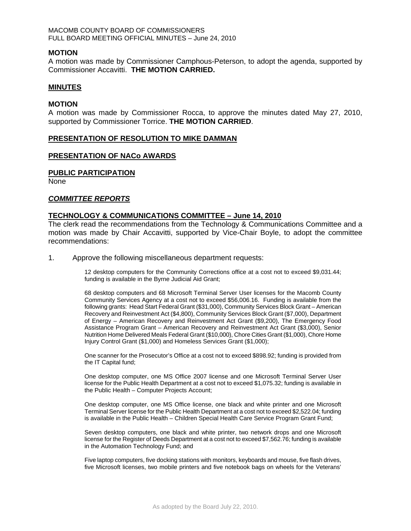#### **MOTION**

A motion was made by Commissioner Camphous-Peterson, to adopt the agenda, supported by Commissioner Accavitti. **THE MOTION CARRIED.** 

#### **MINUTES**

#### **MOTION**

A motion was made by Commissioner Rocca, to approve the minutes dated May 27, 2010, supported by Commissioner Torrice. **THE MOTION CARRIED**.

#### **PRESENTATION OF RESOLUTION TO MIKE DAMMAN**

#### **PRESENTATION OF NACo AWARDS**

#### **PUBLIC PARTICIPATION**

None

#### *COMMITTEE REPORTS*

#### **TECHNOLOGY & COMMUNICATIONS COMMITTEE – June 14, 2010**

The clerk read the recommendations from the Technology & Communications Committee and a motion was made by Chair Accavitti, supported by Vice-Chair Boyle, to adopt the committee recommendations:

1. Approve the following miscellaneous department requests:

12 desktop computers for the Community Corrections office at a cost not to exceed \$9,031.44; funding is available in the Byrne Judicial Aid Grant;

68 desktop computers and 68 Microsoft Terminal Server User licenses for the Macomb County Community Services Agency at a cost not to exceed \$56,006.16. Funding is available from the following grants: Head Start Federal Grant (\$31,000), Community Services Block Grant – American Recovery and Reinvestment Act (\$4,800), Community Services Block Grant (\$7,000), Department of Energy – American Recovery and Reinvestment Act Grant (\$9,200), The Emergency Food Assistance Program Grant – American Recovery and Reinvestment Act Grant (\$3,000), Senior Nutrition Home Delivered Meals Federal Grant (\$10,000), Chore Cities Grant (\$1,000), Chore Home Injury Control Grant (\$1,000) and Homeless Services Grant (\$1,000);

One scanner for the Prosecutor's Office at a cost not to exceed \$898.92; funding is provided from the IT Capital fund;

One desktop computer, one MS Office 2007 license and one Microsoft Terminal Server User license for the Public Health Department at a cost not to exceed \$1,075.32; funding is available in the Public Health – Computer Projects Account;

One desktop computer, one MS Office license, one black and white printer and one Microsoft Terminal Server license for the Public Health Department at a cost not to exceed \$2,522.04; funding is available in the Public Health – Children Special Health Care Service Program Grant Fund;

Seven desktop computers, one black and white printer, two network drops and one Microsoft license for the Register of Deeds Department at a cost not to exceed \$7,562.76; funding is available in the Automation Technology Fund; and

Five laptop computers, five docking stations with monitors, keyboards and mouse, five flash drives, five Microsoft licenses, two mobile printers and five notebook bags on wheels for the Veterans'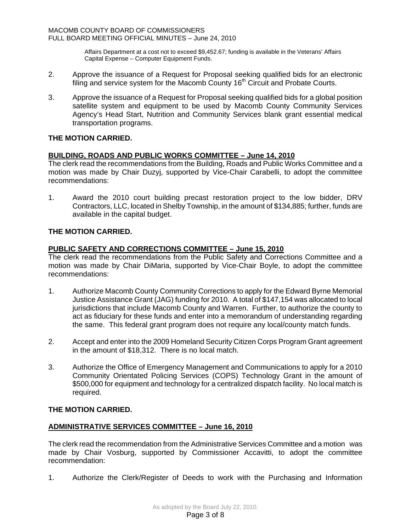Affairs Department at a cost not to exceed \$9,452.67; funding is available in the Veterans' Affairs Capital Expense – Computer Equipment Funds.

- 2. Approve the issuance of a Request for Proposal seeking qualified bids for an electronic filing and service system for the Macomb County  $16<sup>th</sup>$  Circuit and Probate Courts.
- 3. Approve the issuance of a Request for Proposal seeking qualified bids for a global position satellite system and equipment to be used by Macomb County Community Services Agency's Head Start, Nutrition and Community Services blank grant essential medical transportation programs.

## **THE MOTION CARRIED.**

## **BUILDING, ROADS AND PUBLIC WORKS COMMITTEE – June 14, 2010**

The clerk read the recommendations from the Building, Roads and Public Works Committee and a motion was made by Chair Duzyj, supported by Vice-Chair Carabelli, to adopt the committee recommendations:

1. Award the 2010 court building precast restoration project to the low bidder, DRV Contractors, LLC, located in Shelby Township, in the amount of \$134,885; further, funds are available in the capital budget.

## **THE MOTION CARRIED.**

### **PUBLIC SAFETY AND CORRECTIONS COMMITTEE – June 15, 2010**

The clerk read the recommendations from the Public Safety and Corrections Committee and a motion was made by Chair DiMaria, supported by Vice-Chair Boyle, to adopt the committee recommendations:

- 1. Authorize Macomb County Community Corrections to apply for the Edward Byrne Memorial Justice Assistance Grant (JAG) funding for 2010. A total of \$147,154 was allocated to local jurisdictions that include Macomb County and Warren. Further, to authorize the county to act as fiduciary for these funds and enter into a memorandum of understanding regarding the same. This federal grant program does not require any local/county match funds.
- 2. Accept and enter into the 2009 Homeland Security Citizen Corps Program Grant agreement in the amount of \$18,312. There is no local match.
- 3. Authorize the Office of Emergency Management and Communications to apply for a 2010 Community Orientated Policing Services (COPS) Technology Grant in the amount of \$500,000 for equipment and technology for a centralized dispatch facility. No local match is required.

### **THE MOTION CARRIED.**

## **ADMINISTRATIVE SERVICES COMMITTEE – June 16, 2010**

The clerk read the recommendation from the Administrative Services Committee and a motion was made by Chair Vosburg, supported by Commissioner Accavitti, to adopt the committee recommendation:

1. Authorize the Clerk/Register of Deeds to work with the Purchasing and Information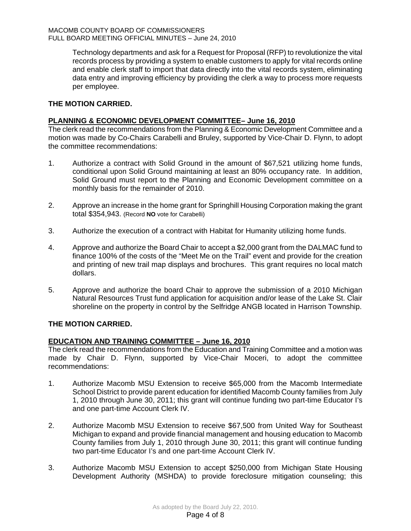Technology departments and ask for a Request for Proposal (RFP) to revolutionize the vital records process by providing a system to enable customers to apply for vital records online and enable clerk staff to import that data directly into the vital records system, eliminating data entry and improving efficiency by providing the clerk a way to process more requests per employee.

## **THE MOTION CARRIED.**

### **PLANNING & ECONOMIC DEVELOPMENT COMMITTEE– June 16, 2010**

The clerk read the recommendations from the Planning & Economic Development Committee and a motion was made by Co-Chairs Carabelli and Bruley, supported by Vice-Chair D. Flynn, to adopt the committee recommendations:

- 1. Authorize a contract with Solid Ground in the amount of \$67,521 utilizing home funds, conditional upon Solid Ground maintaining at least an 80% occupancy rate. In addition, Solid Ground must report to the Planning and Economic Development committee on a monthly basis for the remainder of 2010.
- 2. Approve an increase in the home grant for Springhill Housing Corporation making the grant total \$354,943. (Record **NO** vote for Carabelli)
- 3. Authorize the execution of a contract with Habitat for Humanity utilizing home funds.
- 4. Approve and authorize the Board Chair to accept a \$2,000 grant from the DALMAC fund to finance 100% of the costs of the "Meet Me on the Trail" event and provide for the creation and printing of new trail map displays and brochures. This grant requires no local match dollars.
- 5. Approve and authorize the board Chair to approve the submission of a 2010 Michigan Natural Resources Trust fund application for acquisition and/or lease of the Lake St. Clair shoreline on the property in control by the Selfridge ANGB located in Harrison Township.

## **THE MOTION CARRIED.**

### **EDUCATION AND TRAINING COMMITTEE – June 16, 2010**

The clerk read the recommendations from the Education and Training Committee and a motion was made by Chair D. Flynn, supported by Vice-Chair Moceri, to adopt the committee recommendations:

- 1. Authorize Macomb MSU Extension to receive \$65,000 from the Macomb Intermediate School District to provide parent education for identified Macomb County families from July 1, 2010 through June 30, 2011; this grant will continue funding two part-time Educator I's and one part-time Account Clerk IV.
- 2. Authorize Macomb MSU Extension to receive \$67,500 from United Way for Southeast Michigan to expand and provide financial management and housing education to Macomb County families from July 1, 2010 through June 30, 2011; this grant will continue funding two part-time Educator I's and one part-time Account Clerk IV.
- 3. Authorize Macomb MSU Extension to accept \$250,000 from Michigan State Housing Development Authority (MSHDA) to provide foreclosure mitigation counseling; this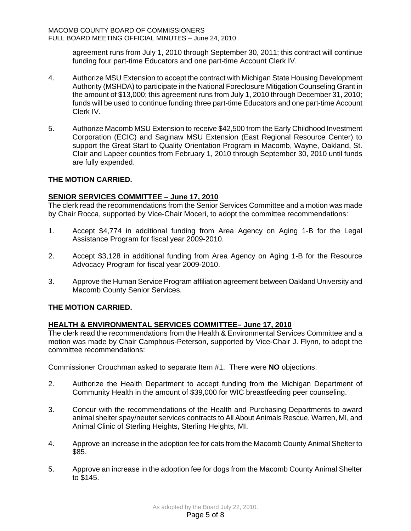agreement runs from July 1, 2010 through September 30, 2011; this contract will continue funding four part-time Educators and one part-time Account Clerk IV.

- 4. Authorize MSU Extension to accept the contract with Michigan State Housing Development Authority (MSHDA) to participate in the National Foreclosure Mitigation Counseling Grant in the amount of \$13,000; this agreement runs from July 1, 2010 through December 31, 2010; funds will be used to continue funding three part-time Educators and one part-time Account Clerk IV.
- 5. Authorize Macomb MSU Extension to receive \$42,500 from the Early Childhood Investment Corporation (ECIC) and Saginaw MSU Extension (East Regional Resource Center) to support the Great Start to Quality Orientation Program in Macomb, Wayne, Oakland, St. Clair and Lapeer counties from February 1, 2010 through September 30, 2010 until funds are fully expended.

## **THE MOTION CARRIED.**

### **SENIOR SERVICES COMMITTEE – June 17, 2010**

The clerk read the recommendations from the Senior Services Committee and a motion was made by Chair Rocca, supported by Vice-Chair Moceri, to adopt the committee recommendations:

- 1. Accept \$4,774 in additional funding from Area Agency on Aging 1-B for the Legal Assistance Program for fiscal year 2009-2010.
- 2. Accept \$3,128 in additional funding from Area Agency on Aging 1-B for the Resource Advocacy Program for fiscal year 2009-2010.
- 3. Approve the Human Service Program affiliation agreement between Oakland University and Macomb County Senior Services.

## **THE MOTION CARRIED.**

### **HEALTH & ENVIRONMENTAL SERVICES COMMITTEE– June 17, 2010**

The clerk read the recommendations from the Health & Environmental Services Committee and a motion was made by Chair Camphous-Peterson, supported by Vice-Chair J. Flynn, to adopt the committee recommendations:

Commissioner Crouchman asked to separate Item #1. There were **NO** objections.

- 2. Authorize the Health Department to accept funding from the Michigan Department of Community Health in the amount of \$39,000 for WIC breastfeeding peer counseling.
- 3. Concur with the recommendations of the Health and Purchasing Departments to award animal shelter spay/neuter services contracts to All About Animals Rescue, Warren, MI, and Animal Clinic of Sterling Heights, Sterling Heights, MI.
- 4. Approve an increase in the adoption fee for cats from the Macomb County Animal Shelter to \$85.
- 5. Approve an increase in the adoption fee for dogs from the Macomb County Animal Shelter to \$145.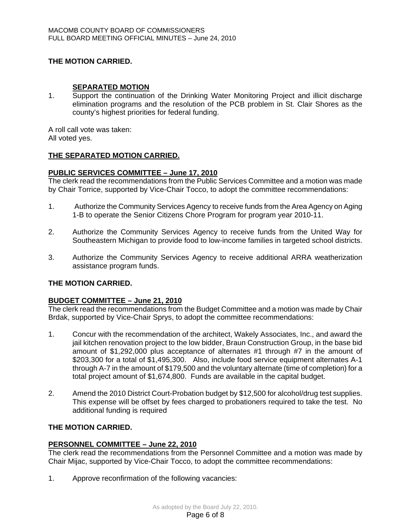### **THE MOTION CARRIED.**

#### **SEPARATED MOTION**

1. Support the continuation of the Drinking Water Monitoring Project and illicit discharge elimination programs and the resolution of the PCB problem in St. Clair Shores as the county's highest priorities for federal funding.

A roll call vote was taken: All voted yes.

#### **THE SEPARATED MOTION CARRIED.**

### **PUBLIC SERVICES COMMITTEE – June 17, 2010**

The clerk read the recommendations from the Public Services Committee and a motion was made by Chair Torrice, supported by Vice-Chair Tocco, to adopt the committee recommendations:

- 1. Authorize the Community Services Agency to receive funds from the Area Agency on Aging 1-B to operate the Senior Citizens Chore Program for program year 2010-11.
- 2. Authorize the Community Services Agency to receive funds from the United Way for Southeastern Michigan to provide food to low-income families in targeted school districts.
- 3. Authorize the Community Services Agency to receive additional ARRA weatherization assistance program funds.

## **THE MOTION CARRIED.**

### **BUDGET COMMITTEE – June 21, 2010**

The clerk read the recommendations from the Budget Committee and a motion was made by Chair Brdak, supported by Vice-Chair Sprys, to adopt the committee recommendations:

- 1. Concur with the recommendation of the architect, Wakely Associates, Inc., and award the jail kitchen renovation project to the low bidder, Braun Construction Group, in the base bid amount of \$1,292,000 plus acceptance of alternates #1 through #7 in the amount of \$203,300 for a total of \$1,495,300. Also, include food service equipment alternates A-1 through A-7 in the amount of \$179,500 and the voluntary alternate (time of completion) for a total project amount of \$1,674,800. Funds are available in the capital budget.
- 2. Amend the 2010 District Court-Probation budget by \$12,500 for alcohol/drug test supplies. This expense will be offset by fees charged to probationers required to take the test. No additional funding is required

### **THE MOTION CARRIED.**

### **PERSONNEL COMMITTEE – June 22, 2010**

The clerk read the recommendations from the Personnel Committee and a motion was made by Chair Mijac, supported by Vice-Chair Tocco, to adopt the committee recommendations:

1. Approve reconfirmation of the following vacancies: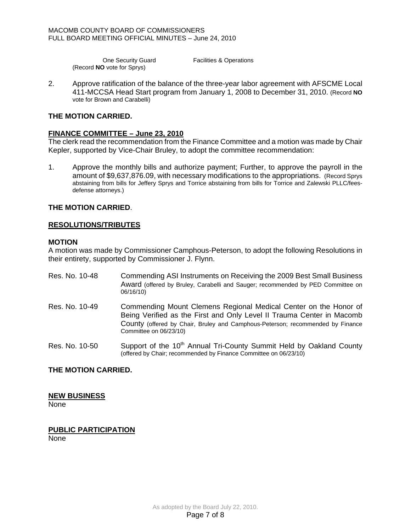(Record **NO** vote for Sprys)

One Security Guard Facilities & Operations

2. Approve ratification of the balance of the three-year labor agreement with AFSCME Local 411-MCCSA Head Start program from January 1, 2008 to December 31, 2010. (Record **NO**  vote for Brown and Carabelli)

### **THE MOTION CARRIED.**

#### **FINANCE COMMITTEE – June 23, 2010**

The clerk read the recommendation from the Finance Committee and a motion was made by Chair Kepler, supported by Vice-Chair Bruley, to adopt the committee recommendation:

1. Approve the monthly bills and authorize payment; Further, to approve the payroll in the amount of \$9,637,876.09, with necessary modifications to the appropriations. (Record Sprys abstaining from bills for Jeffery Sprys and Torrice abstaining from bills for Torrice and Zalewski PLLC/feesdefense attorneys.)

### **THE MOTION CARRIED**.

#### **RESOLUTIONS/TRIBUTES**

#### **MOTION**

A motion was made by Commissioner Camphous-Peterson, to adopt the following Resolutions in their entirety, supported by Commissioner J. Flynn.

Res. No. 10-48 Commending ASI Instruments on Receiving the 2009 Best Small Business Award (offered by Bruley, Carabelli and Sauger; recommended by PED Committee on 06/16/10) Res. No. 10-49 Commending Mount Clemens Regional Medical Center on the Honor of Being Verified as the First and Only Level II Trauma Center in Macomb County (offered by Chair, Bruley and Camphous-Peterson; recommended by Finance Committee on 06/23/10) Res. No. 10-50 Support of the 10<sup>th</sup> Annual Tri-County Summit Held by Oakland County (offered by Chair; recommended by Finance Committee on 06/23/10)

### **THE MOTION CARRIED.**

#### **NEW BUSINESS**

None

#### **PUBLIC PARTICIPATION**

None